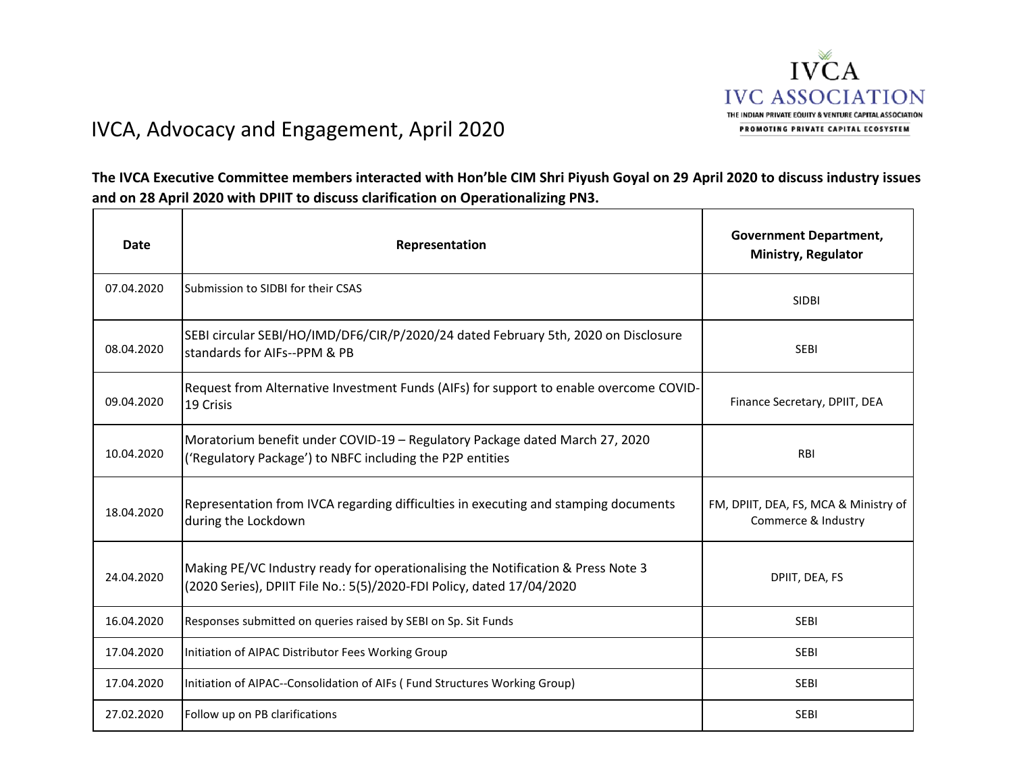

## IVCA, Advocacy and Engagement, April 2020

**The IVCA Executive Committee members interacted with Hon'ble CIM Shri Piyush Goyal on 29 April 2020 to discuss industry issues and on 28 April 2020 with DPIIT to discuss clarification on Operationalizing PN3.**

| Date       | Representation                                                                                                                                            | <b>Government Department,</b><br><b>Ministry, Regulator</b>  |
|------------|-----------------------------------------------------------------------------------------------------------------------------------------------------------|--------------------------------------------------------------|
| 07.04.2020 | Submission to SIDBI for their CSAS                                                                                                                        | <b>SIDBI</b>                                                 |
| 08.04.2020 | SEBI circular SEBI/HO/IMD/DF6/CIR/P/2020/24 dated February 5th, 2020 on Disclosure<br>standards for AIFs--PPM & PB                                        | <b>SEBI</b>                                                  |
| 09.04.2020 | Request from Alternative Investment Funds (AIFs) for support to enable overcome COVID-<br>19 Crisis                                                       | Finance Secretary, DPIIT, DEA                                |
| 10.04.2020 | Moratorium benefit under COVID-19 - Regulatory Package dated March 27, 2020<br>('Regulatory Package') to NBFC including the P2P entities                  | <b>RBI</b>                                                   |
| 18.04.2020 | Representation from IVCA regarding difficulties in executing and stamping documents<br>during the Lockdown                                                | FM, DPIIT, DEA, FS, MCA & Ministry of<br>Commerce & Industry |
| 24.04.2020 | Making PE/VC Industry ready for operationalising the Notification & Press Note 3<br>(2020 Series), DPIIT File No.: 5(5)/2020-FDI Policy, dated 17/04/2020 | DPIIT, DEA, FS                                               |
| 16.04.2020 | Responses submitted on queries raised by SEBI on Sp. Sit Funds                                                                                            | <b>SEBI</b>                                                  |
| 17.04.2020 | Initiation of AIPAC Distributor Fees Working Group                                                                                                        | <b>SEBI</b>                                                  |
| 17.04.2020 | Initiation of AIPAC--Consolidation of AIFs (Fund Structures Working Group)                                                                                | <b>SEBI</b>                                                  |
| 27.02.2020 | Follow up on PB clarifications                                                                                                                            | <b>SEBI</b>                                                  |